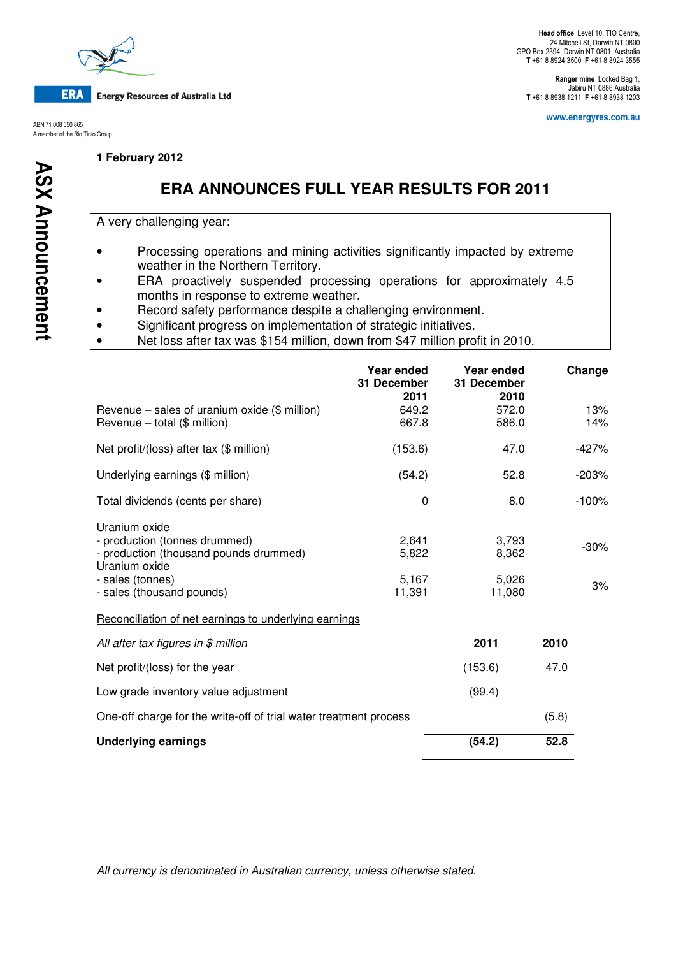

**Energy Resources of Australia Ltd** 

ABN 71 008 550 865 A member of the Rio Tinto Group

**1 February 2012** 

Ranger mine Locked Bag 1, Jabiru NT 0886 Australia T +61 8 8938 1211 F +61 8 8938 1203

www.energyres.com.au

# **ERA ANNOUNCES FULL YEAR RESULTS FOR 2011**

A very challenging year:

- Processing operations and mining activities significantly impacted by extreme weather in the Northern Territory.
- ERA proactively suspended processing operations for approximately 4.5 months in response to extreme weather.
- Record safety performance despite a challenging environment.
- Significant progress on implementation of strategic initiatives.
- Net loss after tax was \$154 million, down from \$47 million profit in 2010.

|                                                                                                                               | Year ended<br>31 December<br>2011 | Year ended<br>31 December<br>2010 |       | Change       |
|-------------------------------------------------------------------------------------------------------------------------------|-----------------------------------|-----------------------------------|-------|--------------|
| Revenue – sales of uranium oxide $(\$$ million)<br>Revenue - total (\$ million)                                               | 649.2<br>667.8                    | 572.0<br>586.0                    |       | 13%<br>14%   |
| Net profit/(loss) after tax (\$ million)                                                                                      | (153.6)                           | 47.0                              |       | $-427%$      |
| Underlying earnings (\$ million)                                                                                              | (54.2)                            | 52.8                              |       | $-203%$      |
| Total dividends (cents per share)                                                                                             | 0                                 | 8.0                               |       | $-100%$      |
| Uranium oxide<br>- production (tonnes drummed)<br>- production (thousand pounds drummed)<br>Uranium oxide<br>- sales (tonnes) | 2,641<br>5,822<br>5,167           | 3,793<br>8,362<br>5,026           |       | $-30%$<br>3% |
| - sales (thousand pounds)                                                                                                     | 11,391                            | 11,080                            |       |              |
| Reconciliation of net earnings to underlying earnings                                                                         |                                   |                                   |       |              |
| All after tax figures in $$$ million                                                                                          |                                   | 2011                              | 2010  |              |
| Net profit/(loss) for the year                                                                                                |                                   | (153.6)                           | 47.0  |              |
| Low grade inventory value adjustment                                                                                          |                                   | (99.4)                            |       |              |
| One-off charge for the write-off of trial water treatment process                                                             |                                   |                                   | (5.8) |              |
| <b>Underlying earnings</b>                                                                                                    |                                   | (54.2)                            | 52.8  |              |

All currency is denominated in Australian currency, unless otherwise stated.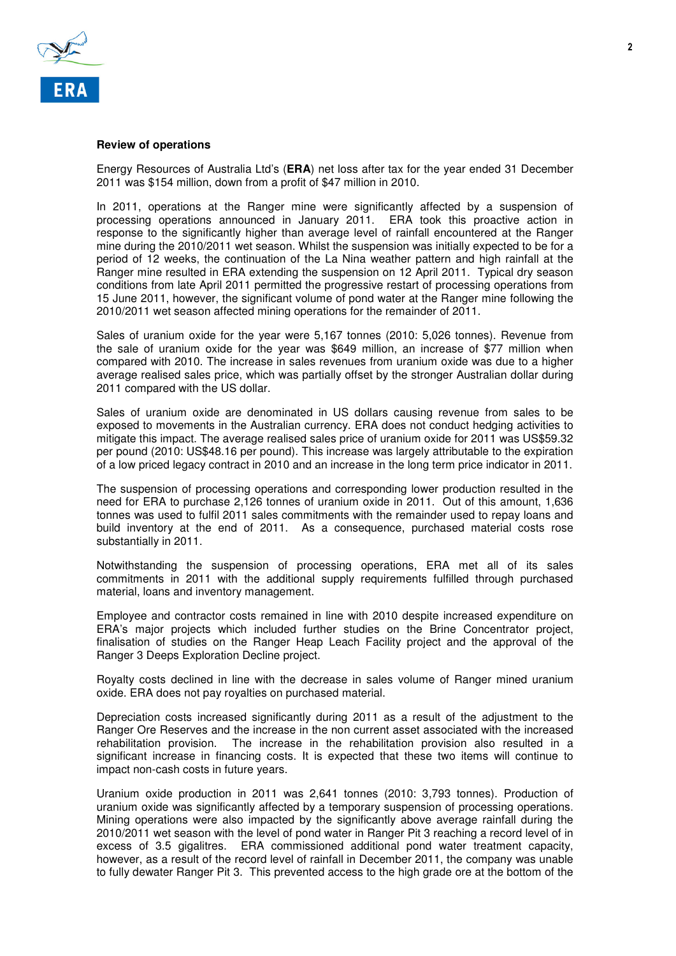

#### **Review of operations**

Energy Resources of Australia Ltd's (**ERA**) net loss after tax for the year ended 31 December 2011 was \$154 million, down from a profit of \$47 million in 2010.

In 2011, operations at the Ranger mine were significantly affected by a suspension of processing operations announced in January 2011. ERA took this proactive action in response to the significantly higher than average level of rainfall encountered at the Ranger mine during the 2010/2011 wet season. Whilst the suspension was initially expected to be for a period of 12 weeks, the continuation of the La Nina weather pattern and high rainfall at the Ranger mine resulted in ERA extending the suspension on 12 April 2011. Typical dry season conditions from late April 2011 permitted the progressive restart of processing operations from 15 June 2011, however, the significant volume of pond water at the Ranger mine following the 2010/2011 wet season affected mining operations for the remainder of 2011.

Sales of uranium oxide for the year were 5,167 tonnes (2010: 5,026 tonnes). Revenue from the sale of uranium oxide for the year was \$649 million, an increase of \$77 million when compared with 2010. The increase in sales revenues from uranium oxide was due to a higher average realised sales price, which was partially offset by the stronger Australian dollar during 2011 compared with the US dollar.

Sales of uranium oxide are denominated in US dollars causing revenue from sales to be exposed to movements in the Australian currency. ERA does not conduct hedging activities to mitigate this impact. The average realised sales price of uranium oxide for 2011 was US\$59.32 per pound (2010: US\$48.16 per pound). This increase was largely attributable to the expiration of a low priced legacy contract in 2010 and an increase in the long term price indicator in 2011.

The suspension of processing operations and corresponding lower production resulted in the need for ERA to purchase 2,126 tonnes of uranium oxide in 2011. Out of this amount, 1,636 tonnes was used to fulfil 2011 sales commitments with the remainder used to repay loans and build inventory at the end of 2011. As a consequence, purchased material costs rose substantially in 2011.

Notwithstanding the suspension of processing operations, ERA met all of its sales commitments in 2011 with the additional supply requirements fulfilled through purchased material, loans and inventory management.

Employee and contractor costs remained in line with 2010 despite increased expenditure on ERA's major projects which included further studies on the Brine Concentrator project, finalisation of studies on the Ranger Heap Leach Facility project and the approval of the Ranger 3 Deeps Exploration Decline project.

Royalty costs declined in line with the decrease in sales volume of Ranger mined uranium oxide. ERA does not pay royalties on purchased material.

Depreciation costs increased significantly during 2011 as a result of the adjustment to the Ranger Ore Reserves and the increase in the non current asset associated with the increased rehabilitation provision. The increase in the rehabilitation provision also resulted in a significant increase in financing costs. It is expected that these two items will continue to impact non-cash costs in future years.

Uranium oxide production in 2011 was 2,641 tonnes (2010: 3,793 tonnes). Production of uranium oxide was significantly affected by a temporary suspension of processing operations. Mining operations were also impacted by the significantly above average rainfall during the 2010/2011 wet season with the level of pond water in Ranger Pit 3 reaching a record level of in excess of 3.5 gigalitres. ERA commissioned additional pond water treatment capacity, however, as a result of the record level of rainfall in December 2011, the company was unable to fully dewater Ranger Pit 3. This prevented access to the high grade ore at the bottom of the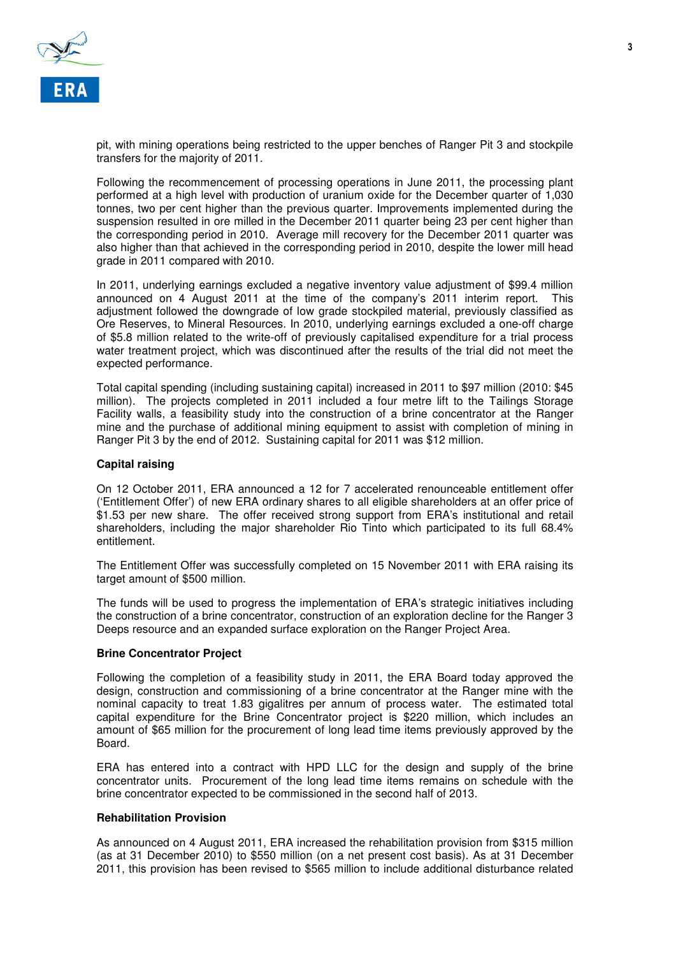

pit, with mining operations being restricted to the upper benches of Ranger Pit 3 and stockpile transfers for the majority of 2011.

Following the recommencement of processing operations in June 2011, the processing plant performed at a high level with production of uranium oxide for the December quarter of 1,030 tonnes, two per cent higher than the previous quarter. Improvements implemented during the suspension resulted in ore milled in the December 2011 quarter being 23 per cent higher than the corresponding period in 2010. Average mill recovery for the December 2011 quarter was also higher than that achieved in the corresponding period in 2010, despite the lower mill head grade in 2011 compared with 2010.

In 2011, underlying earnings excluded a negative inventory value adjustment of \$99.4 million announced on 4 August 2011 at the time of the company's 2011 interim report. This adjustment followed the downgrade of low grade stockpiled material, previously classified as Ore Reserves, to Mineral Resources. In 2010, underlying earnings excluded a one-off charge of \$5.8 million related to the write-off of previously capitalised expenditure for a trial process water treatment project, which was discontinued after the results of the trial did not meet the expected performance.

Total capital spending (including sustaining capital) increased in 2011 to \$97 million (2010: \$45 million). The projects completed in 2011 included a four metre lift to the Tailings Storage Facility walls, a feasibility study into the construction of a brine concentrator at the Ranger mine and the purchase of additional mining equipment to assist with completion of mining in Ranger Pit 3 by the end of 2012. Sustaining capital for 2011 was \$12 million.

## **Capital raising**

On 12 October 2011, ERA announced a 12 for 7 accelerated renounceable entitlement offer ('Entitlement Offer') of new ERA ordinary shares to all eligible shareholders at an offer price of \$1.53 per new share. The offer received strong support from ERA's institutional and retail shareholders, including the major shareholder Rio Tinto which participated to its full 68.4% entitlement.

The Entitlement Offer was successfully completed on 15 November 2011 with ERA raising its target amount of \$500 million.

The funds will be used to progress the implementation of ERA's strategic initiatives including the construction of a brine concentrator, construction of an exploration decline for the Ranger 3 Deeps resource and an expanded surface exploration on the Ranger Project Area.

## **Brine Concentrator Project**

Following the completion of a feasibility study in 2011, the ERA Board today approved the design, construction and commissioning of a brine concentrator at the Ranger mine with the nominal capacity to treat 1.83 gigalitres per annum of process water. The estimated total capital expenditure for the Brine Concentrator project is \$220 million, which includes an amount of \$65 million for the procurement of long lead time items previously approved by the Board.

ERA has entered into a contract with HPD LLC for the design and supply of the brine concentrator units. Procurement of the long lead time items remains on schedule with the brine concentrator expected to be commissioned in the second half of 2013.

## **Rehabilitation Provision**

As announced on 4 August 2011, ERA increased the rehabilitation provision from \$315 million (as at 31 December 2010) to \$550 million (on a net present cost basis). As at 31 December 2011, this provision has been revised to \$565 million to include additional disturbance related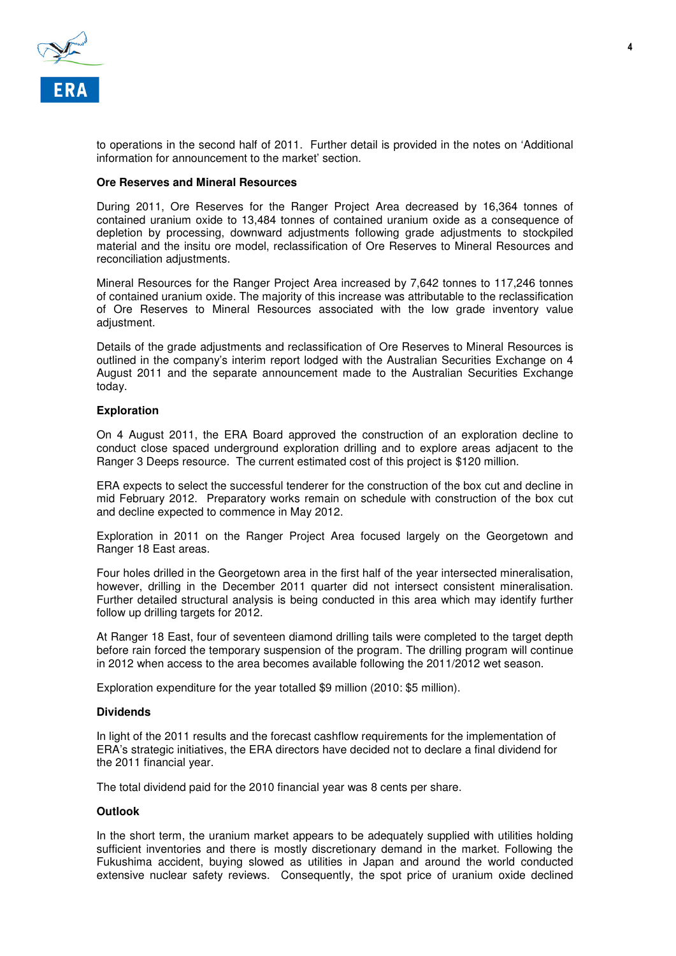

to operations in the second half of 2011. Further detail is provided in the notes on 'Additional information for announcement to the market' section.

## **Ore Reserves and Mineral Resources**

During 2011, Ore Reserves for the Ranger Project Area decreased by 16,364 tonnes of contained uranium oxide to 13,484 tonnes of contained uranium oxide as a consequence of depletion by processing, downward adjustments following grade adjustments to stockpiled material and the insitu ore model, reclassification of Ore Reserves to Mineral Resources and reconciliation adjustments.

Mineral Resources for the Ranger Project Area increased by 7,642 tonnes to 117,246 tonnes of contained uranium oxide. The majority of this increase was attributable to the reclassification of Ore Reserves to Mineral Resources associated with the low grade inventory value adjustment.

Details of the grade adjustments and reclassification of Ore Reserves to Mineral Resources is outlined in the company's interim report lodged with the Australian Securities Exchange on 4 August 2011 and the separate announcement made to the Australian Securities Exchange today.

### **Exploration**

On 4 August 2011, the ERA Board approved the construction of an exploration decline to conduct close spaced underground exploration drilling and to explore areas adjacent to the Ranger 3 Deeps resource. The current estimated cost of this project is \$120 million.

ERA expects to select the successful tenderer for the construction of the box cut and decline in mid February 2012. Preparatory works remain on schedule with construction of the box cut and decline expected to commence in May 2012.

Exploration in 2011 on the Ranger Project Area focused largely on the Georgetown and Ranger 18 East areas.

Four holes drilled in the Georgetown area in the first half of the year intersected mineralisation, however, drilling in the December 2011 quarter did not intersect consistent mineralisation. Further detailed structural analysis is being conducted in this area which may identify further follow up drilling targets for 2012.

At Ranger 18 East, four of seventeen diamond drilling tails were completed to the target depth before rain forced the temporary suspension of the program. The drilling program will continue in 2012 when access to the area becomes available following the 2011/2012 wet season.

Exploration expenditure for the year totalled \$9 million (2010: \$5 million).

#### **Dividends**

In light of the 2011 results and the forecast cashflow requirements for the implementation of ERA's strategic initiatives, the ERA directors have decided not to declare a final dividend for the 2011 financial year.

The total dividend paid for the 2010 financial year was 8 cents per share.

## **Outlook**

In the short term, the uranium market appears to be adequately supplied with utilities holding sufficient inventories and there is mostly discretionary demand in the market. Following the Fukushima accident, buying slowed as utilities in Japan and around the world conducted extensive nuclear safety reviews. Consequently, the spot price of uranium oxide declined